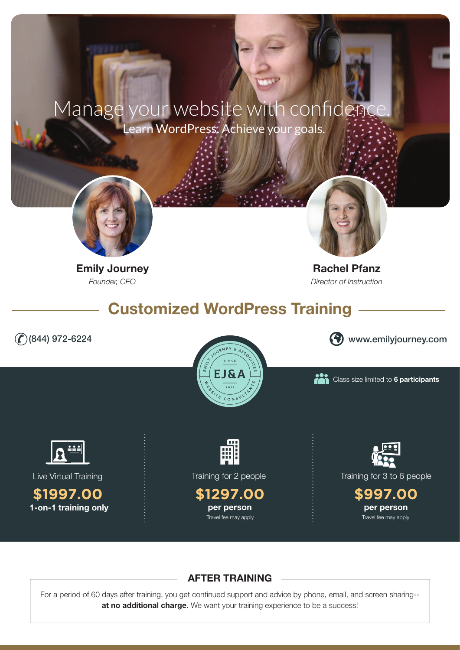# Manage your website with confidence. Learn WordPress. Achieve your goals.



Emily Journey **Rachel Pfanz** 



*Founder, CEO Director of Instruction*

Customized WordPress Training





(844) 972-6224 www.emilyjourney.com

Class size limited to 6 participants



Live Virtual Training

1-on-1 training only **\$1997.00**



Training for 2 people





Training for 3 to 6 people

**\$997.00** per person

## AFTER TRAINING

For a period of 60 days after training, you get continued support and advice by phone, email, and screen sharing- at no additional charge. We want your training experience to be a success!